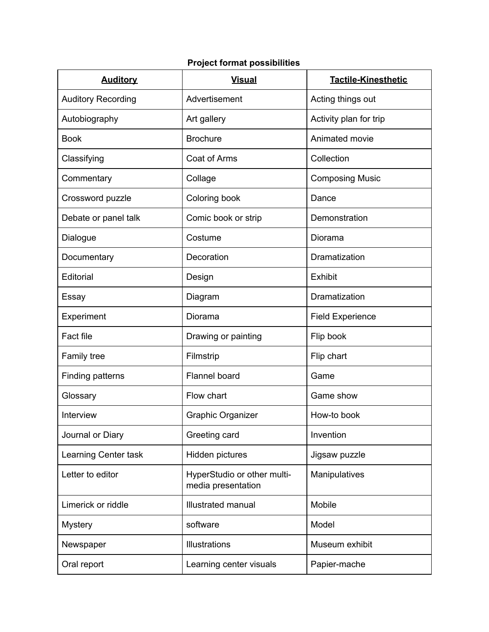## **Project format possibilities**

| <b>Auditory</b>           | <b>Visual</b>                                     | <b>Tactile-Kinesthetic</b> |
|---------------------------|---------------------------------------------------|----------------------------|
| <b>Auditory Recording</b> | Advertisement                                     | Acting things out          |
| Autobiography             | Art gallery                                       | Activity plan for trip     |
| <b>Book</b>               | <b>Brochure</b>                                   | Animated movie             |
| Classifying               | Coat of Arms                                      | Collection                 |
| Commentary                | Collage                                           | <b>Composing Music</b>     |
| Crossword puzzle          | Coloring book                                     | Dance                      |
| Debate or panel talk      | Comic book or strip                               | Demonstration              |
| Dialogue                  | Costume                                           | Diorama                    |
| Documentary               | Decoration                                        | Dramatization              |
| Editorial                 | Design                                            | <b>Exhibit</b>             |
| Essay                     | Diagram                                           | Dramatization              |
| Experiment                | Diorama                                           | <b>Field Experience</b>    |
| <b>Fact file</b>          | Drawing or painting                               | Flip book                  |
| Family tree               | Filmstrip                                         | Flip chart                 |
| <b>Finding patterns</b>   | <b>Flannel board</b>                              | Game                       |
| Glossary                  | Flow chart                                        | Game show                  |
| Interview                 | <b>Graphic Organizer</b>                          | How-to book                |
| Journal or Diary          | Greeting card                                     | Invention                  |
| Learning Center task      | Hidden pictures                                   | Jigsaw puzzle              |
| Letter to editor          | HyperStudio or other multi-<br>media presentation | Manipulatives              |
| Limerick or riddle        | <b>Illustrated manual</b>                         | Mobile                     |
| <b>Mystery</b>            | software                                          | Model                      |
| Newspaper                 | <b>Illustrations</b>                              | Museum exhibit             |
| Oral report               | Learning center visuals                           | Papier-mache               |